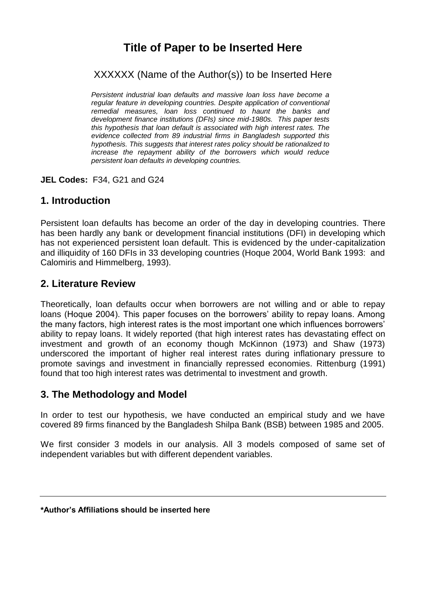# **Title of Paper to be Inserted Here**

XXXXXX (Name of the Author(s)) to be Inserted Here

*Persistent industrial loan defaults and massive loan loss have become a regular feature in developing countries. Despite application of conventional remedial measures, loan loss continued to haunt the banks and development finance institutions (DFIs) since mid-1980s. This paper tests this hypothesis that loan default is associated with high interest rates. The evidence collected from 89 industrial firms in Bangladesh supported this hypothesis. This suggests that interest rates policy should be rationalized to increase the repayment ability of the borrowers which would reduce persistent loan defaults in developing countries.*

**JEL Codes:** F34, G21 and G24

### **1. Introduction**

Persistent loan defaults has become an order of the day in developing countries. There has been hardly any bank or development financial institutions (DFI) in developing which has not experienced persistent loan default. This is evidenced by the under-capitalization and illiquidity of 160 DFIs in 33 developing countries (Hoque 2004, World Bank 1993: and Calomiris and Himmelberg, 1993).

### **2. Literature Review**

Theoretically, loan defaults occur when borrowers are not willing and or able to repay loans (Hoque 2004). This paper focuses on the borrowers' ability to repay loans. Among the many factors, high interest rates is the most important one which influences borrowers' ability to repay loans. It widely reported (that high interest rates has devastating effect on investment and growth of an economy though McKinnon (1973) and Shaw (1973) underscored the important of higher real interest rates during inflationary pressure to promote savings and investment in financially repressed economies. Rittenburg (1991) found that too high interest rates was detrimental to investment and growth.

#### **3. The Methodology and Model**

In order to test our hypothesis, we have conducted an empirical study and we have covered 89 firms financed by the Bangladesh Shilpa Bank (BSB) between 1985 and 2005.

We first consider 3 models in our analysis. All 3 models composed of same set of independent variables but with different dependent variables.